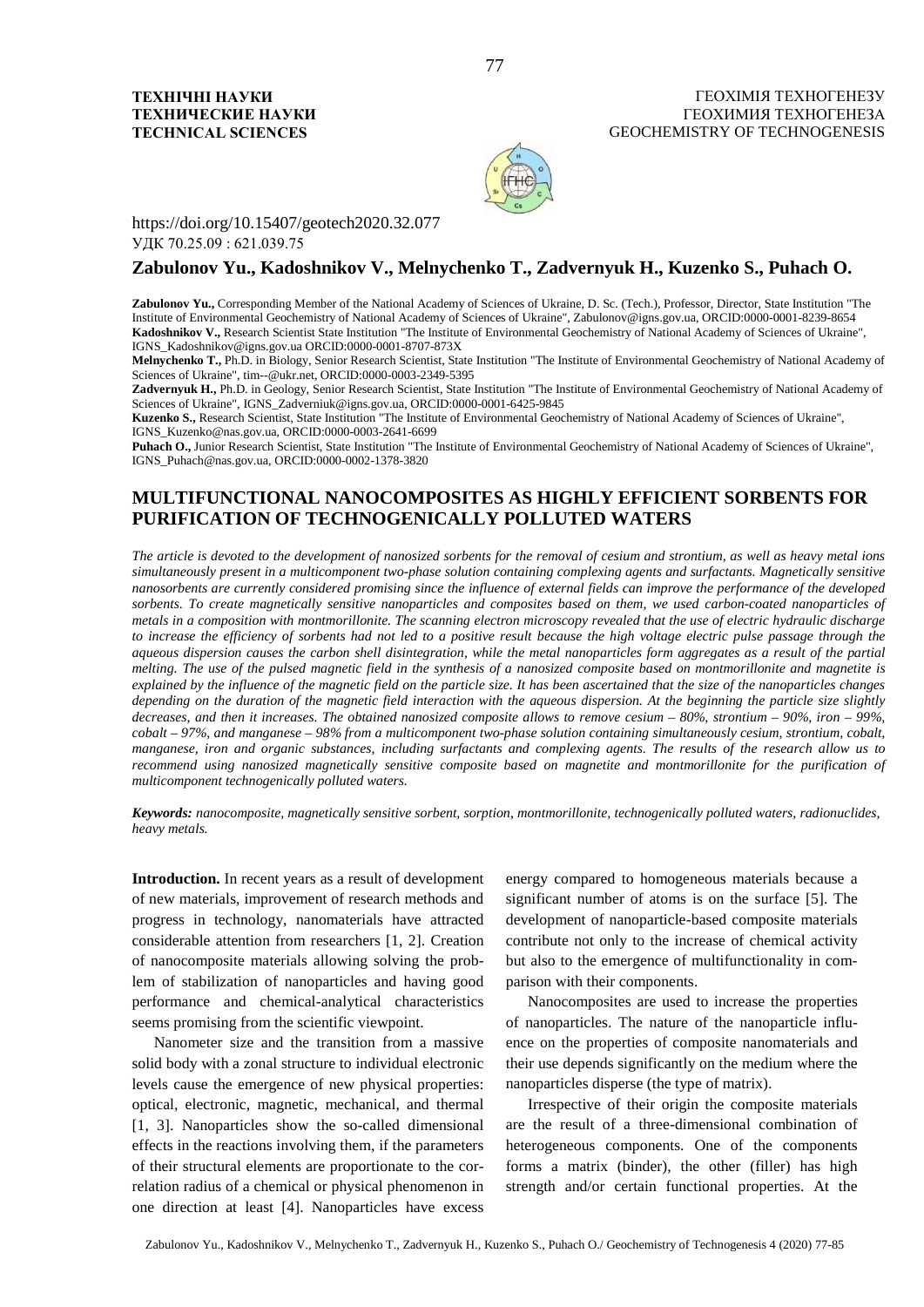

https://doi.org/10.15407/geotech2020.32.077 УДК 70.25.09 : 621.039.75

## **Zabulonov Yu., Kadoshnikov V., Melnychenko T., Zadvernyuk H., Kuzenko S., Puhach O.**

Zabulonov Yu., Corresponding Member of the National Academy of Sciences of Ukraine, D. Sc. (Tech.), Professor, Director, State Institution "The Institute of Environmental Geochemistry of National Academy of Sciences of Ukraine", Zabulonov@igns.gov.ua, ORCID:0000-0001-8239-8654 **Kadoshnikov V.,** Research Scientist State Institution "The Institute of Environmental Geochemistry of National Academy of Sciences of Ukraine", IGNS\_Kadoshnikov@igns.gov.ua ORCID:0000-0001-8707-873X

**Melnychenko T.,** Ph.D. in Biology, Senior Research Scientist, State Institution "The Institute of Environmental Geochemistry of National Academy of Sciences of Ukraine", tim--@ukr.net, ORCID:0000-0003-2349-5395

**Zadvernyuk H.,** Ph.D. in Geology, Senior Research Scientist, State Institution "The Institute of Environmental Geochemistry of National Academy of Sciences of Ukraine", IGNS\_Zadverniuk@igns.gov.ua, ORCID:0000-0001-6425-9845

**Kuzenko S.,** Research Scientist, State Institution "The Institute of Environmental Geochemistry of National Academy of Sciences of Ukraine", IGNS\_Kuzenko@nas.gov.ua, ORCID:0000-0003-2641-6699

Puhach O., Junior Research Scientist, State Institution "The Institute of Environmental Geochemistry of National Academy of Sciences of Ukraine", IGNS\_Puhach@nas.gov.ua, ORCID:0000-0002-1378-3820

# **MULTIFUNCTIONAL NANOCOMPOSITES AS HIGHLY EFFICIENT SORBENTS FOR PURIFICATION OF TECHNOGENICALLY POLLUTED WATERS**

*The article is devoted to the development of nanosized sorbents for the removal of cesium and strontium, as well as heavy metal ions simultaneously present in a multicomponent two-phase solution containing complexing agents and surfactants. Magnetically sensitive nanosorbents are currently considered promising since the influence of external fields can improve the performance of the developed sorbents. To create magnetically sensitive nanoparticles and composites based on them, we used carbon-coated nanoparticles of metals in a composition with montmorillonite. The scanning electron microscopy revealed that the use of electric hydraulic discharge to increase the efficiency of sorbents had not led to a positive result because the high voltage electric pulse passage through the aqueous dispersion causes the carbon shell disintegration, while the metal nanoparticles form aggregates as a result of the partial melting. The use of the pulsed magnetic field in the synthesis of a nanosized composite based on montmorillonite and magnetite is explained by the influence of the magnetic field on the particle size. It has been ascertained that the size of the nanoparticles changes depending on the duration of the magnetic field interaction with the aqueous dispersion. At the beginning the particle size slightly decreases, and then it increases. The obtained nanosized composite allows to remove cesium – 80%, strontium – 90%, iron – 99%, cobalt – 97%, and manganese – 98% from a multicomponent two-phase solution containing simultaneously cesium, strontium, cobalt, manganese, iron and organic substances, including surfactants and complexing agents. The results of the research allow us to recommend using nanosized magnetically sensitive composite based on magnetite and montmorillonite for the purification of multicomponent technogenically polluted waters.*

*Keywords: nanocomposite, magnetically sensitive sorbent, sorption, montmorillonite, technogenically polluted waters, radionuclides, heavy metals.*

**Introduction.** In recent years as a result of development of new materials, improvement of research methods and progress in technology, nanomaterials have attracted considerable attention from researchers [1, 2]. Creation of nanocomposite materials allowing solving the problem of stabilization of nanoparticles and having good performance and chemical-analytical characteristics seems promising from the scientific viewpoint.

Nanometer size and the transition from a massive solid body with a zonal structure to individual electronic levels cause the emergence of new physical properties: optical, electronic, magnetic, mechanical, and thermal [1, 3]. Nanoparticles show the so-called dimensional effects in the reactions involving them, if the parameters of their structural elements are proportionate to the correlation radius of a chemical or physical phenomenon in one direction at least [4]. Nanoparticles have excess energy compared to homogeneous materials because a significant number of atoms is on the surface [5]. The development of nanoparticle-based composite materials contribute not only to the increase of chemical activity but also to the emergence of multifunctionality in comparison with their components.

Nanocomposites are used to increase the properties of nanoparticles. The nature of the nanoparticle influence on the properties of composite nanomaterials and their use depends significantly on the medium where the nanoparticles disperse (the type of matrix).

Irrespective of their origin the composite materials are the result of a three-dimensional combination of heterogeneous components. One of the components forms a matrix (binder), the other (filler) has high strength and/or certain functional properties. At the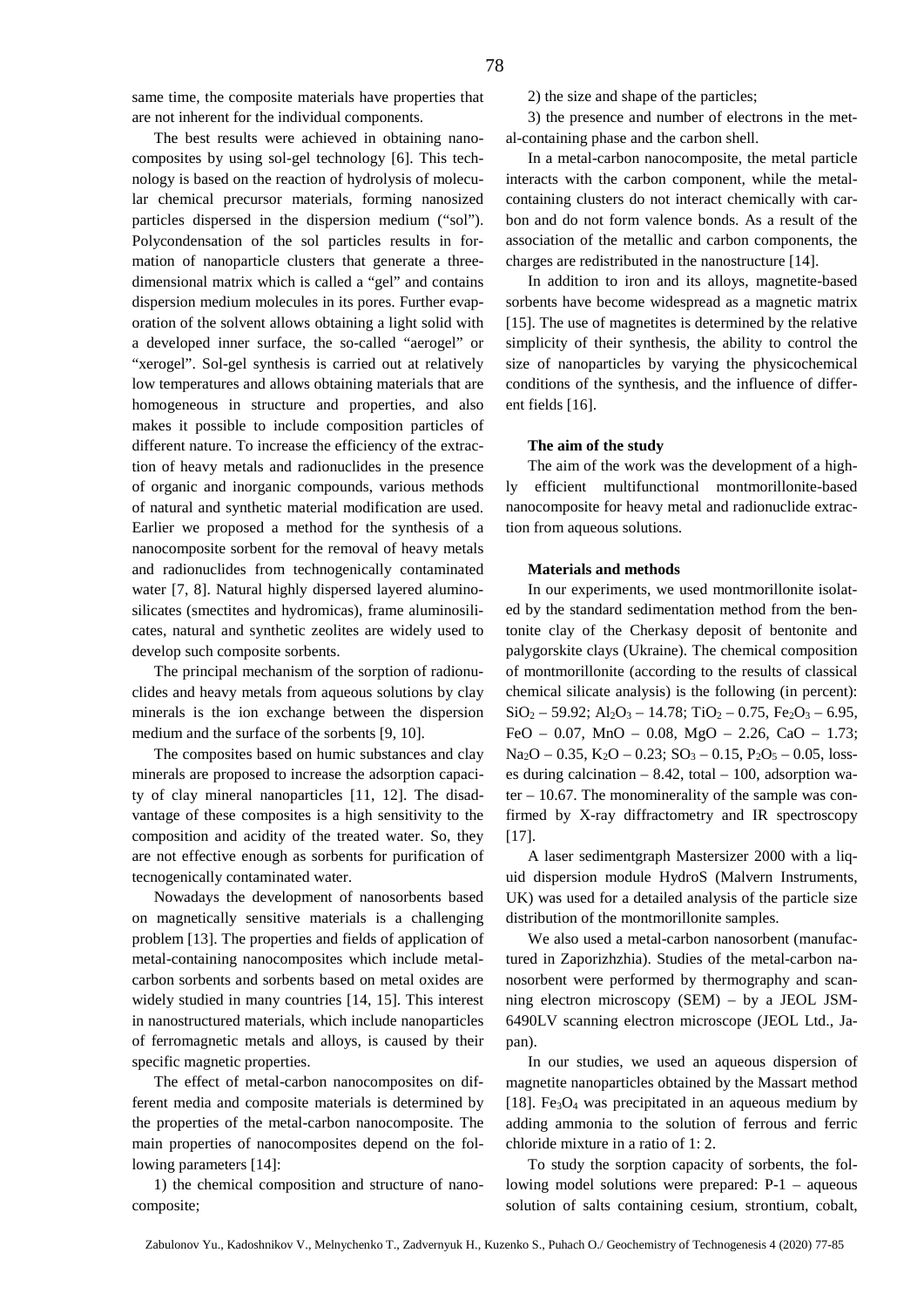same time, the composite materials have properties that are not inherent for the individual components.

The best results were achieved in obtaining nanocomposites by using sol-gel technology [6]. This technology is based on the reaction of hydrolysis of molecular chemical precursor materials, forming nanosized particles dispersed in the dispersion medium ("sol"). Polycondensation of the sol particles results in formation of nanoparticle clusters that generate a threedimensional matrix which is called a "gel" and contains dispersion medium molecules in its pores. Further evaporation of the solvent allows obtaining a light solid with a developed inner surface, the so-called "aerogel" or "xerogel". Sol-gel synthesis is carried out at relatively low temperatures and allows obtaining materials that are homogeneous in structure and properties, and also makes it possible to include composition particles of different nature. To increase the efficiency of the extraction of heavy metals and radionuclides in the presence of organic and inorganic compounds, various methods of natural and synthetic material modification are used. Earlier we proposed a method for the synthesis of a nanocomposite sorbent for the removal of heavy metals and radionuclides from technogenically contaminated water [7, 8]. Natural highly dispersed layered aluminosilicates (smectites and hydromicas), frame aluminosilicates, natural and synthetic zeolites are widely used to develop such composite sorbents.

The principal mechanism of the sorption of radionuclides and heavy metals from aqueous solutions by clay minerals is the ion exchange between the dispersion medium and the surface of the sorbents [9, 10].

The composites based on humic substances and clay minerals are proposed to increase the adsorption capacity of clay mineral nanoparticles [11, 12]. The disadvantage of these composites is a high sensitivity to the composition and acidity of the treated water. So, they are not effective enough as sorbents for purification of tecnogenically contaminated water.

Nowadays the development of nanosorbents based on magnetically sensitive materials is a challenging problem [13]. The properties and fields of application of metal-containing nanocomposites which include metalcarbon sorbents and sorbents based on metal oxides are widely studied in many countries [14, 15]. This interest in nanostructured materials, which include nanoparticles of ferromagnetic metals and alloys, is caused by their specific magnetic properties.

The effect of metal-carbon nanocomposites on different media and composite materials is determined by the properties of the metal-carbon nanocomposite. The main properties of nanocomposites depend on the following parameters [14]:

1) the chemical composition and structure of nanocomposite;

2) the size and shape of the particles;

3) the presence and number of electrons in the metal-containing phase and the carbon shell.

In a metal-carbon nanocomposite, the metal particle interacts with the carbon component, while the metalcontaining clusters do not interact chemically with carbon and do not form valence bonds. As a result of the association of the metallic and carbon components, the charges are redistributed in the nanostructure [14].

In addition to iron and its alloys, magnetite-based sorbents have become widespread as a magnetic matrix [15]. The use of magnetites is determined by the relative simplicity of their synthesis, the ability to control the size of nanoparticles by varying the physicochemical conditions of the synthesis, and the influence of different fields [16].

#### **The aim of the study**

The aim of the work was the development of a highly efficient multifunctional montmorillonite-based nanocomposite for heavy metal and radionuclide extraction from aqueous solutions.

#### **Materials and methods**

In our experiments, we used montmorillonite isolated by the standard sedimentation method from the bentonite clay of the Cherkasy deposit of bentonite and palygorskite clays (Ukraine). The chemical composition of montmorillonite (according to the results of classical chemical silicate analysis) is the following (in percent):  $SiO_2 - 59.92$ ; Al<sub>2</sub>O<sub>3</sub> – 14.78; TiO<sub>2</sub> – 0.75, Fe<sub>2</sub>O<sub>3</sub> – 6.95, FeO – 0.07, MnO – 0.08, MgO – 2.26, CaO – 1.73;  $Na<sub>2</sub>O - 0.35$ ,  $K<sub>2</sub>O - 0.23$ ;  $SO<sub>3</sub> - 0.15$ ,  $P<sub>2</sub>O<sub>5</sub> - 0.05$ , losses during calcination  $-8.42$ , total  $-100$ , adsorption water – 10.67. The monominerality of the sample was confirmed by X-ray diffractometry and IR spectroscopy [17].

A laser sedimentgraph Mastersizer 2000 with a liquid dispersion module HydroS (Malvern Instruments, UK) was used for a detailed analysis of the particle size distribution of the montmorillonite samples.

We also used a metal-carbon nanosorbent (manufactured in Zaporizhzhia). Studies of the metal-carbon nanosorbent were performed by thermography and scanning electron microscopy (SEM) – by a JEOL JSM-6490LV scanning electron microscope (JEOL Ltd., Japan).

In our studies, we used an aqueous dispersion of magnetite nanoparticles obtained by the Massart method [18]. Fe<sub>3</sub>O<sub>4</sub> was precipitated in an aqueous medium by adding ammonia to the solution of ferrous and ferric chloride mixture in a ratio of 1: 2.

To study the sorption capacity of sorbents, the following model solutions were prepared: P-1 – aqueous solution of salts containing cesium, strontium, cobalt,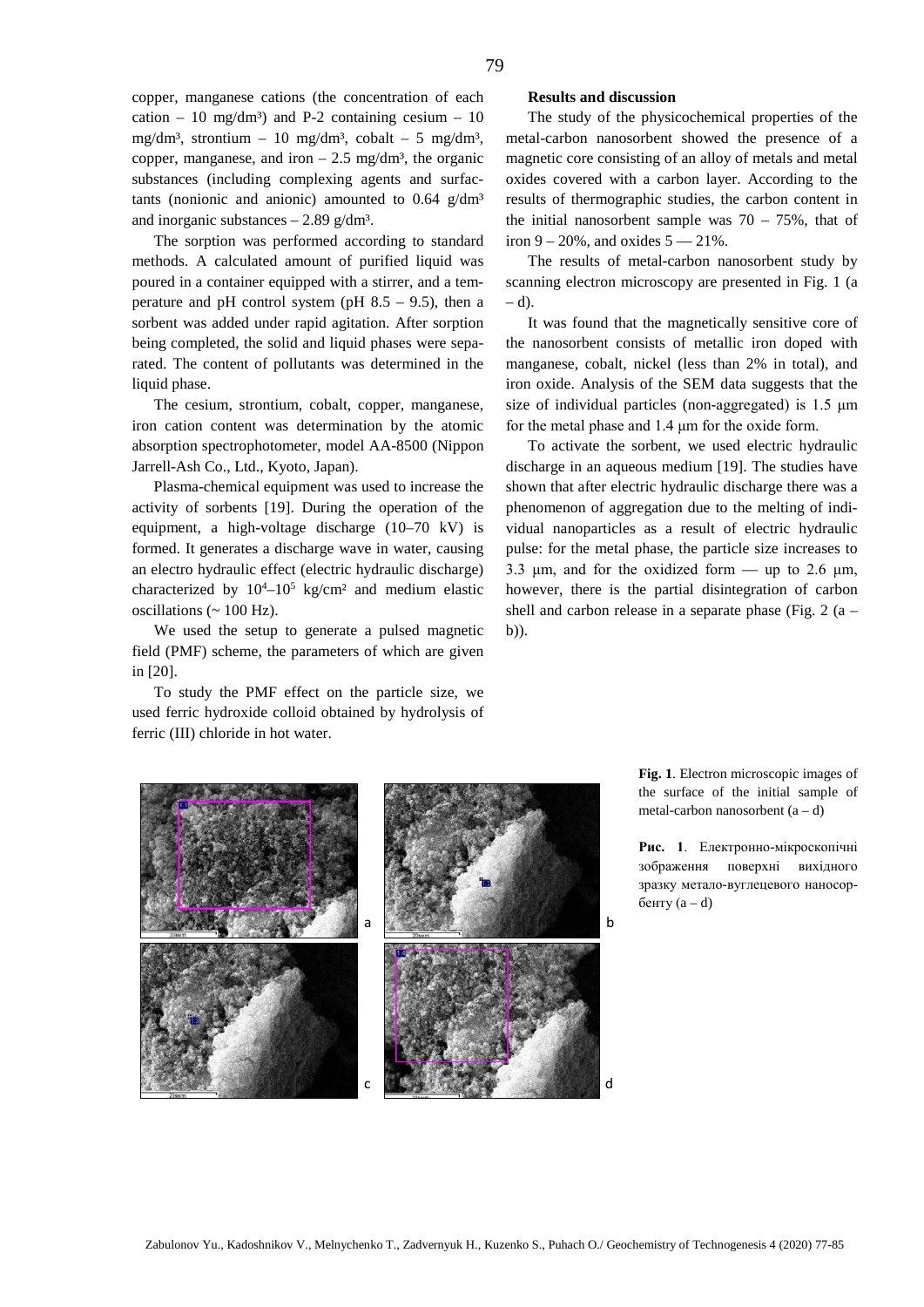copper, manganese cations (the concentration of each cation – 10 mg/dm<sup>3</sup>) and P-2 containing cesium – 10 mg/dm<sup>3</sup>, strontium – 10 mg/dm<sup>3</sup>, cobalt – 5 mg/dm<sup>3</sup>, copper, manganese, and iron  $-2.5$  mg/dm<sup>3</sup>, the organic substances (including complexing agents and surfactants (nonionic and anionic) amounted to  $0.64$  g/dm<sup>3</sup> and inorganic substances  $-2.89$  g/dm<sup>3</sup>.

The sorption was performed according to standard methods. A calculated amount of purified liquid was poured in a container equipped with a stirrer, and a temperature and pH control system (pH  $8.5 - 9.5$ ), then a sorbent was added under rapid agitation. After sorption being completed, the solid and liquid phases were separated. The content of pollutants was determined in the liquid phase.

The cesium, strontium, cobalt, copper, manganese, iron cation content was determination by the atomic absorption spectrophotometer, model AA-8500 (Nippon Jarrell-Ash Co., Ltd., Kyoto, Japan).

Plasma-chemical equipment was used to increase the activity of sorbents [19]. During the operation of the equipment, a high-voltage discharge (10–70 kV) is formed. It generates a discharge wave in water, causing an electro hydraulic effect (electric hydraulic discharge) characterized by  $10^4 - 10^5$  kg/cm<sup>2</sup> and medium elastic oscillations ( $\sim 100$  Hz).

We used the setup to generate a pulsed magnetic field (PMF) scheme, the parameters of which are given in [20].

To study the PMF effect on the particle size, we used ferric hydroxide colloid obtained by hydrolysis of ferric (III) chloride in hot water.

## **Results and discussion**

The study of the physicochemical properties of the metal-carbon nanosorbent showed the presence of a magnetic core consisting of an alloy of metals and metal oxides covered with a carbon layer. According to the results of thermographic studies, the carbon content in the initial nanosorbent sample was  $70 - 75\%$ , that of iron  $9 - 20\%$ , and oxides  $5 - 21\%$ .

The results of metal-carbon nanosorbent study by scanning electron microscopy are presented in Fig. 1 (a  $- d$ ).

It was found that the magnetically sensitive core of the nanosorbent consists of metallic iron doped with manganese, cobalt, nickel (less than 2% in total), and iron oxide. Analysis of the SEM data suggests that the size of individual particles (non-aggregated) is 1.5 μm for the metal phase and 1.4 μm for the oxide form.

To activate the sorbent, we used electric hydraulic discharge in an aqueous medium [19]. The studies have shown that after electric hydraulic discharge there was a phenomenon of aggregation due to the melting of individual nanoparticles as a result of electric hydraulic pulse: for the metal phase, the particle size increases to 3.3 μm, and for the oxidized form  $-$  up to 2.6 μm, however, there is the partial disintegration of carbon shell and carbon release in a separate phase (Fig.  $2(a$ b)).



**Fig. 1**. Electron microscopic images of the surface of the initial sample of metal-carbon nanosorbent  $(a - d)$ 

**Рис. 1**. Електронно-мікроскопічні зображення поверхні вихідного зразку метало-вуглецевого наносорбенту (a – d)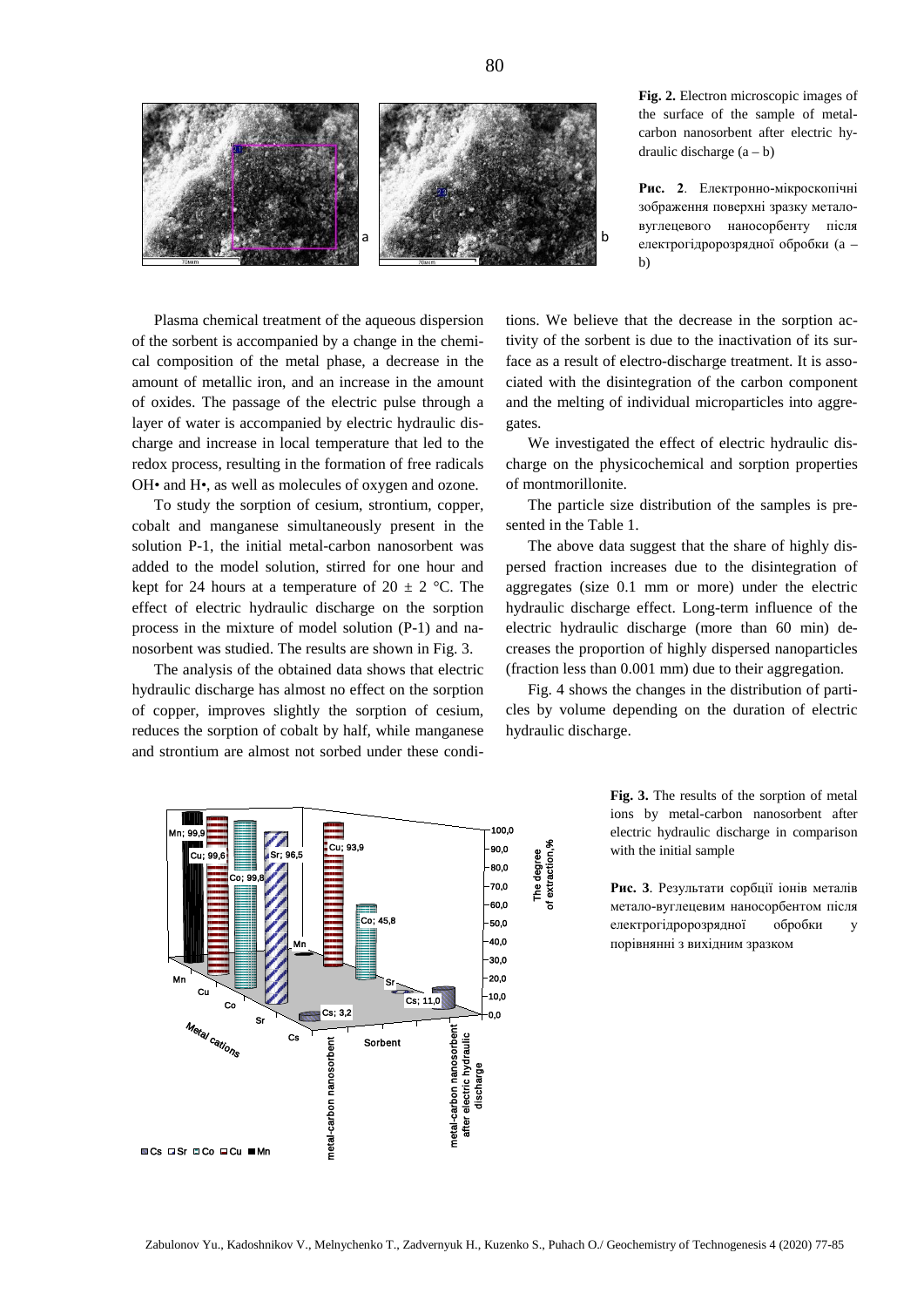

**Fig. 2.** Electron microscopic images of the surface of the sample of metalcarbon nanosorbent after electric hydraulic discharge  $(a - b)$ 

**Рис. 2**. Електронно-мікроскопічні зображення поверхні зразку металовуглецевого наносорбенту після електрогідророзрядної обробки (a – b)

Plasma chemical treatment of the aqueous dispersion of the sorbent is accompanied by a change in the chemical composition of the metal phase, a decrease in the amount of metallic iron, and an increase in the amount of oxides. The passage of the electric pulse through a layer of water is accompanied by electric hydraulic discharge and increase in local temperature that led to the redox process, resulting in the formation of free radicals OH• and H•, as well as molecules of oxygen and ozone.

To study the sorption of cesium, strontium, copper, cobalt and manganese simultaneously present in the solution P-1, the initial metal-carbon nanosorbent was added to the model solution, stirred for one hour and kept for 24 hours at a temperature of  $20 \pm 2$  °C. The effect of electric hydraulic discharge on the sorption process in the mixture of model solution (P-1) and nanosorbent was studied. The results are shown in Fig. 3.

The analysis of the obtained data shows that electric hydraulic discharge has almost no effect on the sorption of copper, improves slightly the sorption of cesium, reduces the sorption of cobalt by half, while manganese and strontium are almost not sorbed under these conditions. We believe that the decrease in the sorption activity of the sorbent is due to the inactivation of its surface as a result of electro-discharge treatment. It is associated with the disintegration of the carbon component and the melting of individual microparticles into aggregates.

We investigated the effect of electric hydraulic discharge on the physicochemical and sorption properties of montmorillonite.

The particle size distribution of the samples is presented in the Table 1.

The above data suggest that the share of highly dispersed fraction increases due to the disintegration of aggregates (size 0.1 mm or more) under the electric hydraulic discharge effect. Long-term influence of the electric hydraulic discharge (more than 60 min) decreases the proportion of highly dispersed nanoparticles (fraction less than 0.001 mm) due to their aggregation.

Fig. 4 shows the changes in the distribution of particles by volume depending on the duration of electric hydraulic discharge.



**Fig. 3.** The results of the sorption of metal ions by metal-carbon nanosorbent after electric hydraulic discharge in comparison with the initial sample

**Рис. 3**. Результати сорбції іонів металів метало-вуглецевим наносорбентом після електрогідророзрядної обробки у порівнянні з вихідним зразком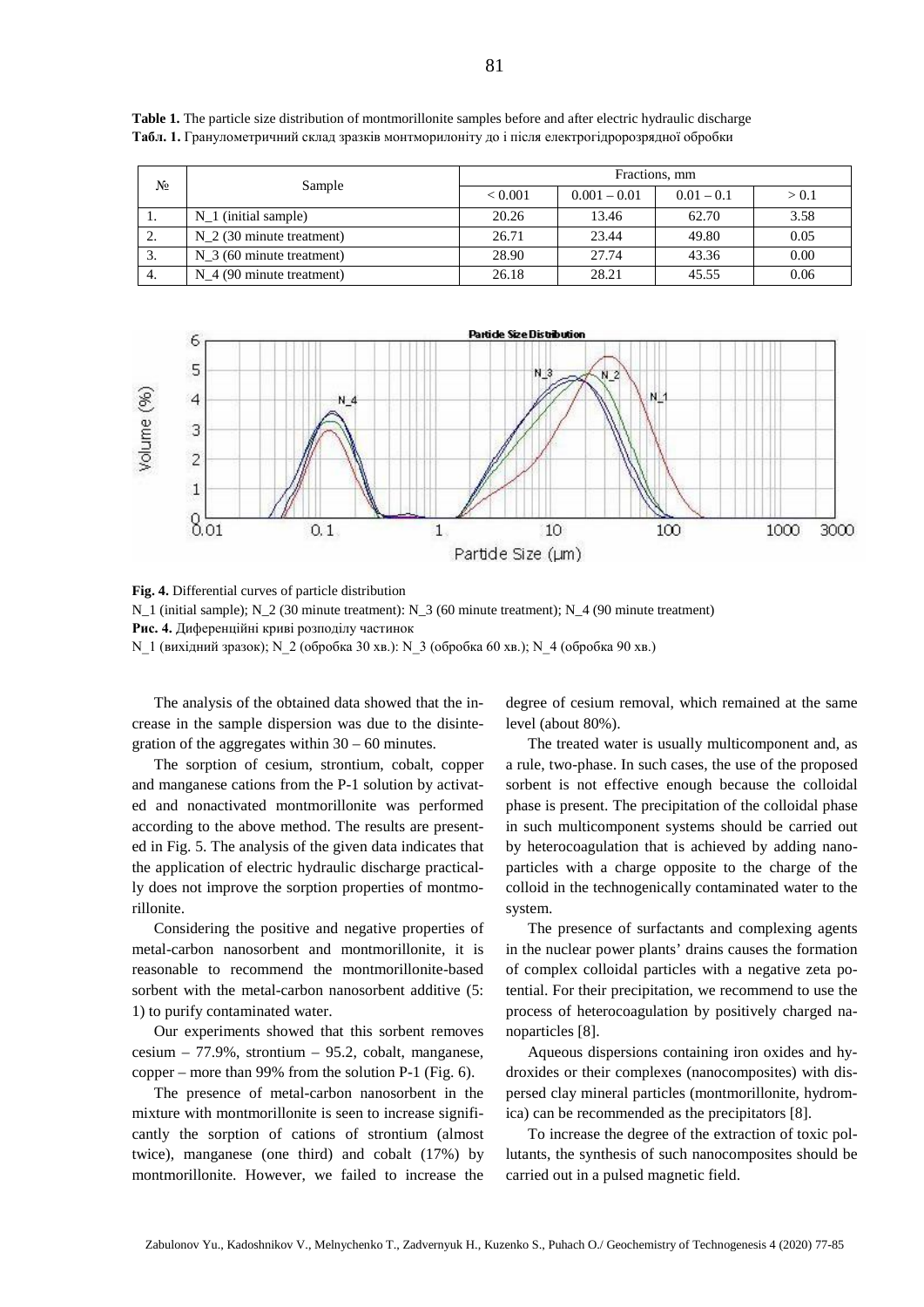| N <sub>o</sub> | Sample                               | Fractions, mm  |                |              |       |  |  |
|----------------|--------------------------------------|----------------|----------------|--------------|-------|--|--|
|                |                                      | ${}_{< 0.001}$ | $0.001 - 0.01$ | $0.01 - 0.1$ | > 0.1 |  |  |
| .,             | $N_1$ (initial sample)               | 20.26          | 13.46          | 62.70        | 3.58  |  |  |
| <u>L.</u>      | $N_2$ (30 minute treatment)          | 26.71          | 23.44          | 49.80        | 0.05  |  |  |
| J.             | $N_3$ (60 minute treatment)          | 28.90          | 27.74          | 43.36        | 0.00  |  |  |
| 4.             | N <sub>4</sub> (90 minute treatment) | 26.18          | 28.21          | 45.55        | 0.06  |  |  |

**Table 1.** The particle size distribution of montmorillonite samples before and after electric hydraulic discharge **Табл. 1.** Гранулометричний склад зразків монтморилоніту до і після електрогідророзрядної обробки



**Fig. 4.** Differential curves of particle distribution N\_1 (initial sample); N\_2 (30 minute treatment): N\_3 (60 minute treatment); N\_4 (90 minute treatment) **Рис. 4.** Диференційні криві розподілу частинок

N 1 (вихідний зразок); N 2 (обробка 30 хв.): N 3 (обробка 60 хв.); N 4 (обробка 90 хв.)

The analysis of the obtained data showed that the increase in the sample dispersion was due to the disintegration of the aggregates within  $30 - 60$  minutes.

The sorption of cesium, strontium, cobalt, copper and manganese cations from the P-1 solution by activated and nonactivated montmorillonite was performed according to the above method. The results are presented in Fig. 5. The analysis of the given data indicates that the application of electric hydraulic discharge practically does not improve the sorption properties of montmorillonite.

Considering the positive and negative properties of metal-carbon nanosorbent and montmorillonite, it is reasonable to recommend the montmorillonite-based sorbent with the metal-carbon nanosorbent additive (5: 1) to purify contaminated water.

Our experiments showed that this sorbent removes cesium – 77.9%, strontium – 95.2, cobalt, manganese, copper – more than 99% from the solution P-1 (Fig. 6).

The presence of metal-carbon nanosorbent in the mixture with montmorillonite is seen to increase significantly the sorption of cations of strontium (almost twice), manganese (one third) and cobalt (17%) by montmorillonite. However, we failed to increase the degree of cesium removal, which remained at the same level (about 80%).

The treated water is usually multicomponent and, as a rule, two-phase. In such cases, the use of the proposed sorbent is not effective enough because the colloidal phase is present. The precipitation of the colloidal phase in such multicomponent systems should be carried out by heterocoagulation that is achieved by adding nanoparticles with a charge opposite to the charge of the colloid in the technogenically contaminated water to the system.

The presence of surfactants and complexing agents in the nuclear power plants' drains causes the formation of complex colloidal particles with a negative zeta potential. For their precipitation, we recommend to use the process of heterocoagulation by positively charged nanoparticles [8].

Aqueous dispersions containing iron oxides and hydroxides or their complexes (nanocomposites) with dispersed clay mineral particles (montmorillonite, hydromica) can be recommended as the precipitators [8].

To increase the degree of the extraction of toxic pollutants, the synthesis of such nanocomposites should be carried out in a pulsed magnetic field.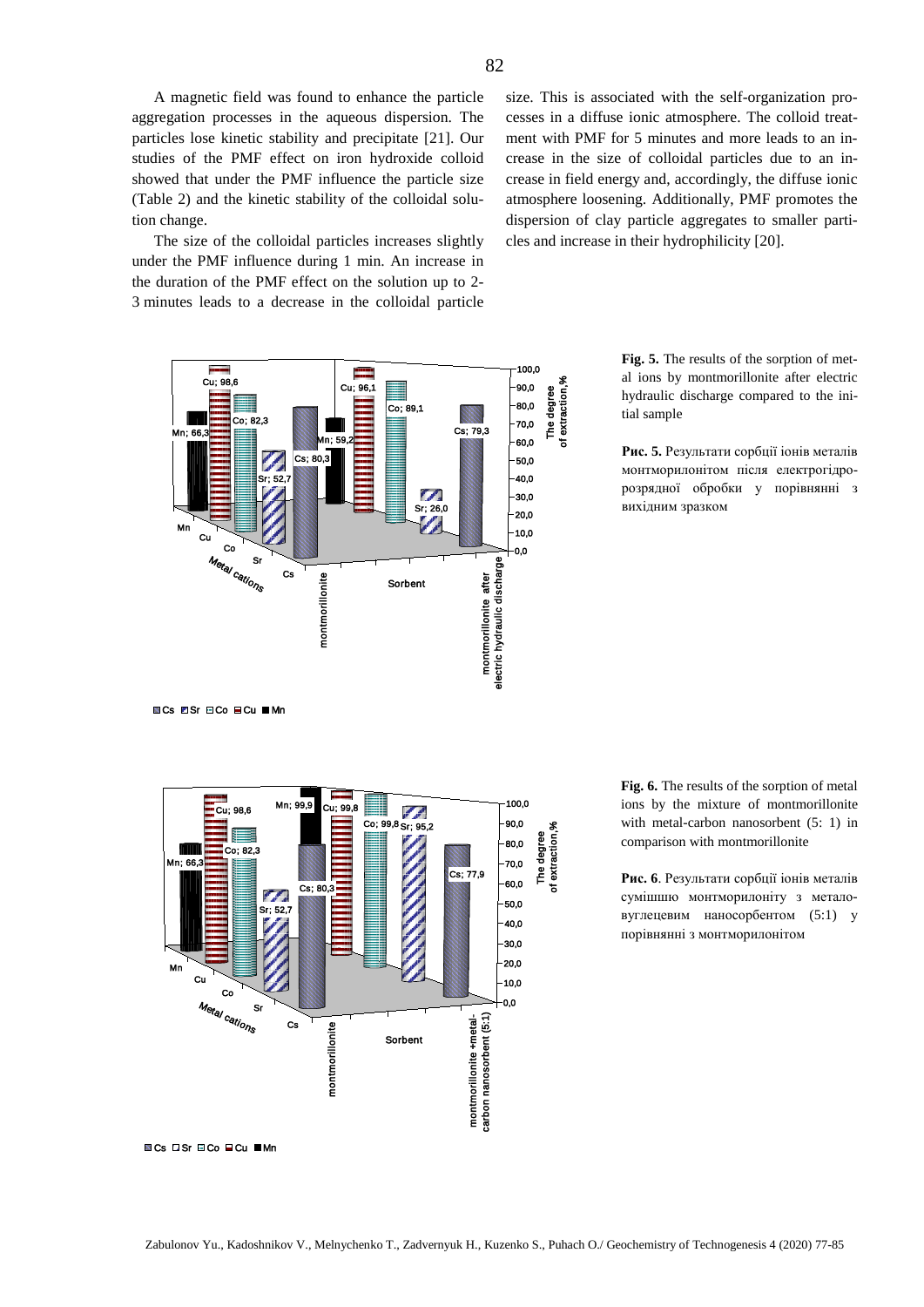A magnetic field was found to enhance the particle aggregation processes in the aqueous dispersion. The particles lose kinetic stability and precipitate [21]. Our studies of the PMF effect on iron hydroxide colloid showed that under the PMF influence the particle size (Table 2) and the kinetic stability of the colloidal solution change.

The size of the colloidal particles increases slightly under the PMF influence during 1 min. An increase in the duration of the PMF effect on the solution up to 2- 3 minutes leads to a decrease in the colloidal particle



size. This is associated with the self-organization processes in a diffuse ionic atmosphere. The colloid treatment with PMF for 5 minutes and more leads to an increase in the size of colloidal particles due to an increase in field energy and, accordingly, the diffuse ionic atmosphere loosening. Additionally, PMF promotes the dispersion of clay particle aggregates to smaller particles and increase in their hydrophilicity [20].

> **Fig. 5.** The results of the sorption of metal ions by montmorillonite after electric hydraulic discharge compared to the initial sample

> **Рис. 5.** Результати сорбції іонів металів монтморилонітом після електрогідророзрядної обробки у порівнянні з вихідним зразком

**ECs ESr ECo ⊑Cu Mn** 



**Fig. 6.** The results of the sorption of metal ions by the mixture of montmorillonite with metal-carbon nanosorbent (5: 1) in comparison with montmorillonite

**Рис. 6**. Результати сорбції іонів металів сумішшю монтморилоніту з металовуглецевим наносорбентом (5:1) у порівнянні з монтморилонітом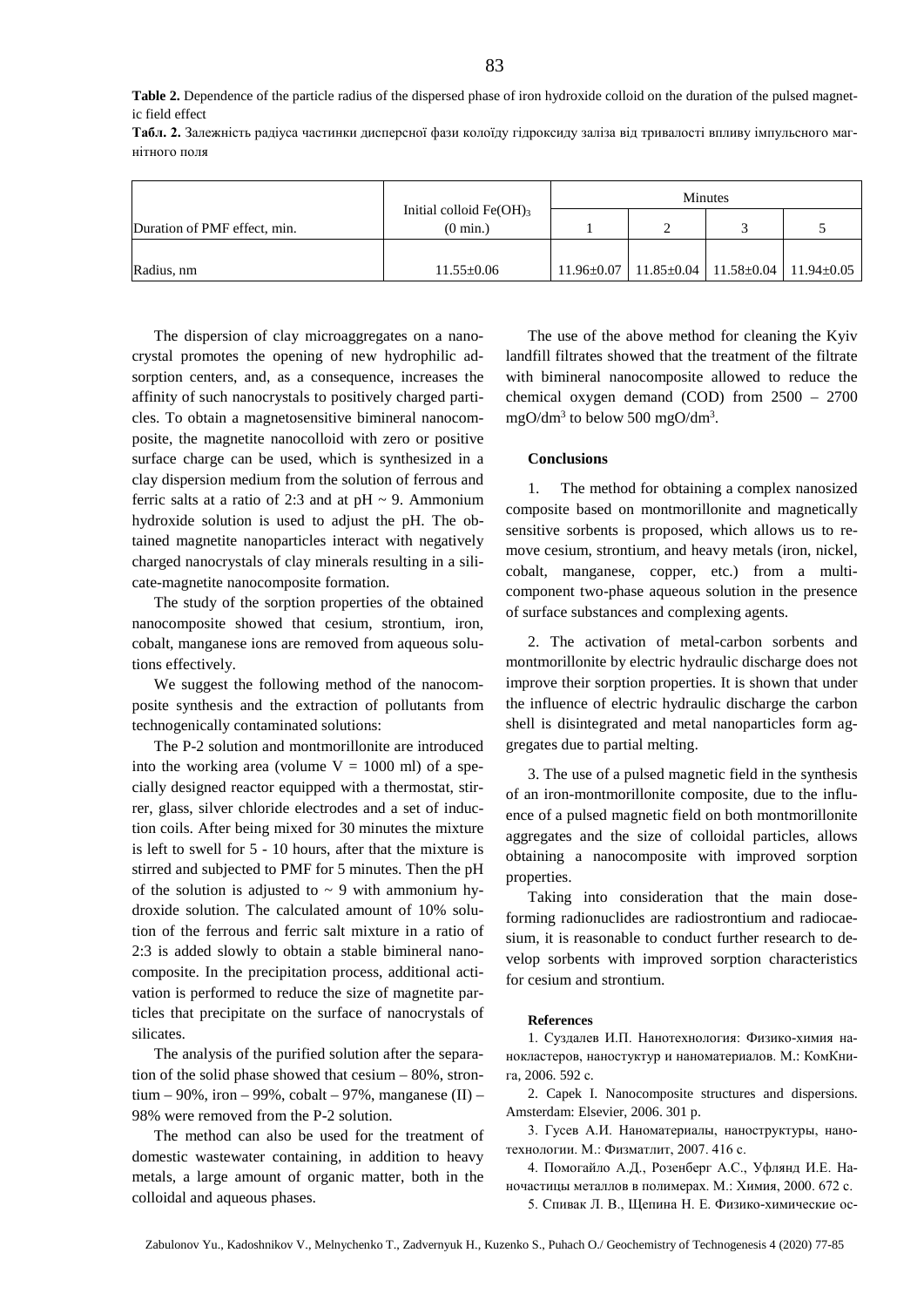**Табл. 2.** Залежність радіуса частинки дисперсної фази колоїду гідроксиду заліза від тривалості впливу імпульсного магнітного поля

|                              |                                                 | Minutes          |  |                                                        |  |  |
|------------------------------|-------------------------------------------------|------------------|--|--------------------------------------------------------|--|--|
| Duration of PMF effect, min. | Initial colloid $Fe(OH)3$<br>$(0 \text{ min.})$ |                  |  |                                                        |  |  |
| Radius, nm                   | $11.55 \pm 0.06$                                | $11.96 \pm 0.07$ |  | $11.85 \pm 0.04$   11.58 $\pm$ 0.04   11.94 $\pm$ 0.05 |  |  |

The dispersion of clay microaggregates on a nanocrystal promotes the opening of new hydrophilic adsorption centers, and, as a consequence, increases the affinity of such nanocrystals to positively charged particles. To obtain a magnetosensitive bimineral nanocomposite, the magnetite nanocolloid with zero or positive surface charge can be used, which is synthesized in a clay dispersion medium from the solution of ferrous and ferric salts at a ratio of 2:3 and at  $pH \sim 9$ . Ammonium hydroxide solution is used to adjust the pH. The obtained magnetite nanoparticles interact with negatively charged nanocrystals of clay minerals resulting in a silicate-magnetite nanocomposite formation.

The study of the sorption properties of the obtained nanocomposite showed that cesium, strontium, iron, cobalt, manganese ions are removed from aqueous solutions effectively.

We suggest the following method of the nanocomposite synthesis and the extraction of pollutants from technogenically contaminated solutions:

The P-2 solution and montmorillonite are introduced into the working area (volume  $V = 1000$  ml) of a specially designed reactor equipped with a thermostat, stirrer, glass, silver chloride electrodes and a set of induction coils. After being mixed for 30 minutes the mixture is left to swell for 5 - 10 hours, after that the mixture is stirred and subjected to PMF for 5 minutes. Then the pH of the solution is adjusted to  $\sim$  9 with ammonium hydroxide solution. The calculated amount of 10% solution of the ferrous and ferric salt mixture in a ratio of 2:3 is added slowly to obtain a stable bimineral nanocomposite. In the precipitation process, additional activation is performed to reduce the size of magnetite particles that precipitate on the surface of nanocrystals of silicates.

The analysis of the purified solution after the separation of the solid phase showed that cesium – 80%, strontium – 90%, iron – 99%, cobalt – 97%, manganese  $(II)$  – 98% were removed from the P-2 solution.

The method can also be used for the treatment of domestic wastewater containing, in addition to heavy metals, a large amount of organic matter, both in the colloidal and aqueous phases.

The use of the above method for cleaning the Kyiv landfill filtrates showed that the treatment of the filtrate with bimineral nanocomposite allowed to reduce the chemical oxygen demand (COD) from 2500 – 2700 mgO/dm3 to below 500 mgO/dm3 .

### **Conclusions**

1. The method for obtaining a complex nanosized composite based on montmorillonite and magnetically sensitive sorbents is proposed, which allows us to remove cesium, strontium, and heavy metals (iron, nickel, cobalt, manganese, copper, etc.) from a multicomponent two-phase aqueous solution in the presence of surface substances and complexing agents.

2. The activation of metal-carbon sorbents and montmorillonite by electric hydraulic discharge does not improve their sorption properties. It is shown that under the influence of electric hydraulic discharge the carbon shell is disintegrated and metal nanoparticles form aggregates due to partial melting.

3. The use of a pulsed magnetic field in the synthesis of an iron-montmorillonite composite, due to the influence of a pulsed magnetic field on both montmorillonite aggregates and the size of colloidal particles, allows obtaining a nanocomposite with improved sorption properties.

Taking into consideration that the main doseforming radionuclides are radiostrontium and radiocaesium, it is reasonable to conduct further research to develop sorbents with improved sorption characteristics for cesium and strontium.

## **References**

1. Суздалев И.П. Нанотехнология: Физико-химия нанокластеров, наностуктур и наноматериалов. М.: КомКнига, 2006. 592 с.

2. Capek I. Nanocomposite structures and dispersions. Amsterdam: Elsevier, 2006. 301 p.

3. Гусев А.И. Наноматериалы, наноструктуры, нанотехнологии. М.: Физматлит, 2007. 416 с.

4. Помогайло А.Д., Розенберг А.С., Уфлянд И.Е. Наночастицы металлов в полимерах. М.: Химия, 2000. 672 с.

5. Спивак Л. В., Щепина Н. Е. Физико-химические ос-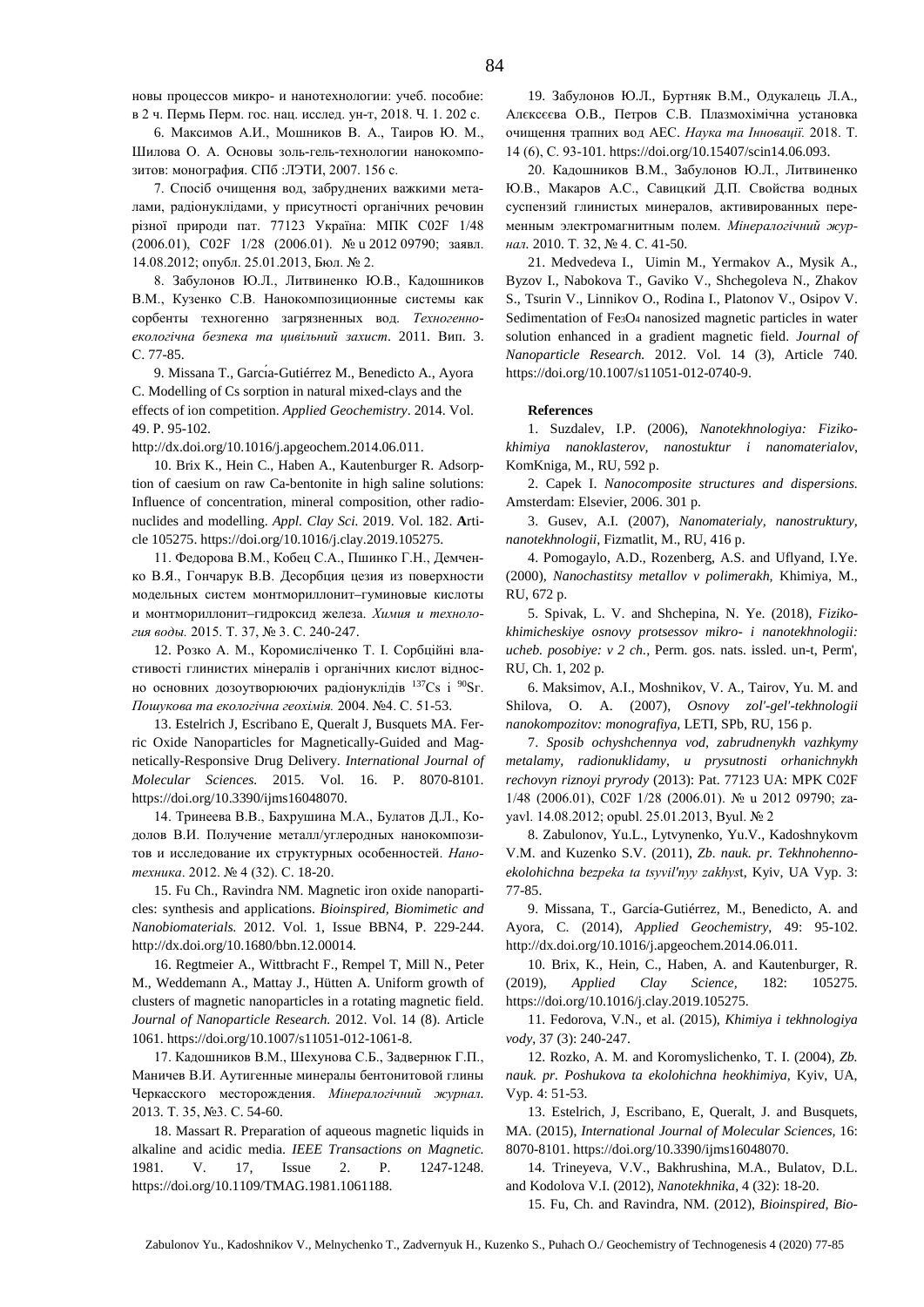новы процессов микро- и нанотехнологии: учеб. пособие: в 2 ч. Пермь Перм. гос. нац. исслед. ун-т, 2018. Ч. 1. 202 с.

6. Максимов А.И., Мошников В. А., Таиров Ю. М., Шилова О. А. Основы золь-гель-технологии нанокомпозитов: монография. СПб :ЛЭТИ, 2007. 156 с.

7. Спосіб очищення вод, забруднених важкими металами, радіонуклідами, у присутності органічних речовин різної природи пат. 77123 Україна: МПК C02F 1/48 (2006.01), C02F 1/28 (2006.01). № u 2012 09790; заявл. 14.08.2012; опубл. 25.01.2013, Бюл. № 2.

8. Забулонов Ю.Л., Литвиненко Ю.В., Кадошников В.М., Кузенко С.В. Нанокомпозиционные системы как сорбенты техногенно загрязненных вод. *[Техногенно](https://www.elibrary.ru/title_about.asp?id=52893)[екологічна](https://www.elibrary.ru/title_about.asp?id=52893) безпека та цивільний захист*. 2011. Вип. [3.](https://www.elibrary.ru/contents.asp?id=34056354&selid=23068352)  С. 77-85.

9. Missana T., Garcı́a-Gutiérrez M., Benedicto A., Ayora C. Modelling of Cs sorption in natural mixed-clays and the effects of ion competition. *[Applied Geochemistry](https://www.researchgate.net/journal/0883-2927_Applied_Geochemistry)*. 2014. Vol. 49. Р. 95-102.

[http://dx.doi.org/10.1016/j.apgeochem.2014.06.011.](http://dx.doi.org/10.1016/j.apgeochem.2014.06.011)

10. Brix K., Hein C., Haben A., Kautenburger R. Adsorption of caesium on raw Ca-bentonite in high saline solutions: Influence of concentration, mineral composition, other radionuclides and modelling. *Appl. Clay Sci.* 2019. Vol. 182. **A**rticle 105275[. https://doi.org/10.1016/j.clay.2019.105275.](https://doi.org/10.1016/j.clay.2019.105275)

11. Федорова В.М., Кобец С.А., Пшинко Г.Н., Демченко В.Я., Гончарук В.В. Десорбция цезия из поверхности модельных систем монтмориллонит–гуминовые кислоты и монтмориллонит–гидроксид железа. *Химия и технология воды.* 2015. Т. 37, № 3. С. 240-247.

12. Розко А. М., Коромисліченко Т. І. Сорбційні властивості глинистих мінералів і органічних кислот відносно основних дозоутворюючих радіонуклідів <sup>137</sup>Сs і <sup>90</sup>Sг. *Пошукова та екологічна геохімія.* 2004. №4. С. 51-53.

13. Estelrich J, Escribano E, Queralt J, Busquets MA. Ferric Oxide Nanoparticles for Magnetically-Guided and Magnetically-Responsive Drug Delivery. *International Journal of Molecular Sciences.* 2015. Vol. 16. P. 8070-8101. [https://doi.org/10.3390/ijms16048070.](https://doi.org/10.3390/ijms16048070)

14. Тринеева В.В., Бахрушина М.А., Булатов Д.Л., Кодолов В.И. Получение металл/углеродных нанокомпозитов и исследование их структурных особенностей. *Нанотехника*. 2012. № 4 (32). С. 18-20.

15. Fu Ch., Ravindra NM. Magnetic iron oxide nanoparticles: synthesis and applications. *Bioinspired, Biomimetic and Nanobiomaterials*. 2012. Vol. 1, Issue BBN4, P. 229-244. [http://dx.doi.org/10.1680/bbn.12.00014.](http://dx.doi.org/10.1680/bbn.12.00014)

16. Regtmeier A., Wittbracht F., Rempel T, Mill N., Peter M., Weddemann A., Mattay J., Hütten A. Uniform growth of clusters of magnetic nanoparticles in a rotating magnetic field. *Journal of Nanoparticle Research.* 2012. Vol. 14 (8). Article 1061[. https://doi.org/10.1007/s11051-012-1061-8.](https://doi.org/10.1007/s11051-012-1061-8)

17. Кадошников В.М., Шехунова С.Б., Задвернюк Г.П., Маничев В.И. Аутигенные минералы бентонитовой глины Черкасского месторождения. *Мінералогічний журнал.* 2013. Т. 35, №3. С. 54-60.

18. Massart R. Preparation of aqueous magnetic liquids in alkaline and acidic media. *IEEE Transactions on Magnetic.* 1981. V. 17, Issue 2. P. 1247-1248. [https://doi.org/10.1109/TMAG.1981.1061188.](https://doi.org/10.1109/TMAG.1981.1061188)

19. Забулонов Ю.Л., Буртняк В.М., Одукалець Л.А., Алєксєєва О.В., Петров С.В. Плазмохімічна установка очищення трапних вод АЕС. *Наука та Інновації.* 2018. Т. 14 (6), С. 93-101[. https://doi.org/10.15407/scin14.06.093.](https://doi.org/10.15407/scin14.06.093)

20. Кадошников В.М., Забулонов Ю.Л., Литвиненко Ю.В., Макаров А.С., Савицкий Д.П. Свойства водных суспензий глинистых минералов, активированных переменным электромагнитным полем. *Мінералогічний журнал.* 2010. Т. 32, № 4. С. 41-50.

21. Medvedeva [I.,](https://link.springer.com/article/10.1007/s11051-012-0740-9#auth-1) Uimin M., Yermakov A., Mysik A., [Byzov](https://link.springer.com/article/10.1007/s11051-012-0740-9#auth-5) I., Nabokova T., Gaviko V., Shchegoleva N., Zhakov S., Tsurin V., Linnikov O., Rodina I., Platonov V., Osipov V. Sedimentation of Fe<sub>3</sub>O<sub>4</sub> nanosized magnetic particles in water solution enhanced in a gradient magnetic field. *[Journal of](https://link.springer.com/journal/11051)  [Nanoparticle Research.](https://link.springer.com/journal/11051)* 2012. Vol. 14 (3), Article 740. [https://doi.org/10.1007/s11051-012-0740-9.](https://doi.org/10.1007/s11051-012-0740-9)

#### **References**

1. Suzdalev, I.P. (2006), *Nanotekhnologiya: Fizikokhimiya nanoklasterov, nanostuktur i nanomaterialov,*  KomKniga, M., RU, 592 p.

2. Capek I. *Nanocomposite structures and dispersions.*  Amsterdam: Elsevier, 2006. 301 p.

3. Gusev, A.I. (2007), *Nanomaterialy, nanostruktury, nanotekhnologii*, Fizmatlit, M., RU, 416 p.

4. Pomogaylo, A.D., Rozenberg, A.S. and Uflyand, I.Ye. (2000), *Nanochastitsy metallov v polimerakh,* Khimiya, M., RU, 672 p.

5. Spivak, L. V. and Shchepina, N. Ye. (2018), *Fizikokhimicheskiye osnovy protsessov mikro- i nanotekhnologii: ucheb. posobiye: v 2 ch.,* Perm. gos. nats. issled. un-t, Perm', RU, Ch. 1, 202 p.

6. Maksimov, A.I., Moshnikov, V. A., Tairov, Yu. M. and Shilova, O. A. (2007), *Osnovy zol'-gel'-tekhnologii nanokompozitov: monografiya,* LETI, SPb, RU, 156 p.

7. *Sposib ochyshchennya vod, zabrudnenykh vazhkymy metalamy, radionuklidamy, u prysutnosti orhanichnykh rechovyn riznoyi pryrody* (2013): Pat. 77123 UA: MPK C02F 1/48 (2006.01), C02F 1/28 (2006.01). № u 2012 09790; zayavl. 14.08.2012; opubl. 25.01.2013, Byul. № 2

8. Zabulonov, Yu.L., Lytvynenko, Yu.V., Kadoshnykovm V.M. and Kuzenko S.V. (2011), *Zb. nauk. pr. Tekhnohennoekolohichna bezpeka ta tsyvilʹnyy zakhys*t, Kyiv, UA Vyp. 3: 77-85.

9. Missana, T., García-Gutiérrez, M., Benedicto, A. and Ayora, C. (2014), *[Applied Geochemistry](https://www.researchgate.net/journal/0883-2927_Applied_Geochemistry)*, 49: 95-102. [http://dx.doi.org/10.1016/j.apgeochem.2014.06.011.](http://dx.doi.org/10.1016/j.apgeochem.2014.06.011)

10. Brix, K., Hein, C., Haben, A. and Kautenburger, R. (2019), *Applied Clay Science,* 182: 105275. [https://doi.org/10.1016/j.clay.2019.105275.](https://doi.org/10.1016/j.clay.2019.105275)

11. Fedorova, V.N., et al. (2015), *Khimiya i tekhnologiya vody*, 37 (3): 240-247.

12. Rozko, A. M. and Koromyslichenko, T. I. (2004), *Zb. nauk. pr. Poshukova ta ekolohichna heokhimiya,* Kyiv, UA, Vyp. 4: 51-53.

13. Estelrich, J, Escribano, E, Queralt, J. and Busquets, MA. (2015), *International Journal of Molecular Sciences,* 16: 8070-8101[. https://doi.org/10.3390/ijms16048070.](https://doi.org/10.3390/ijms16048070)

14. Trineyeva, V.V., Bakhrushina, M.A., Bulatov, D.L. and Kodolova V.I. (2012), *Nanotekhnika*, 4 (32): 18-20.

15. Fu, Ch. and Ravindra, NM. (2012), *Bioinspired, Bio-*

Zabulonov Yu., Kadoshnikov V., Melnychenko T., Zadvernyuk H., Kuzenko S., Puhach O./ Geochemistry of Technogenesis 4 (2020) 77-85